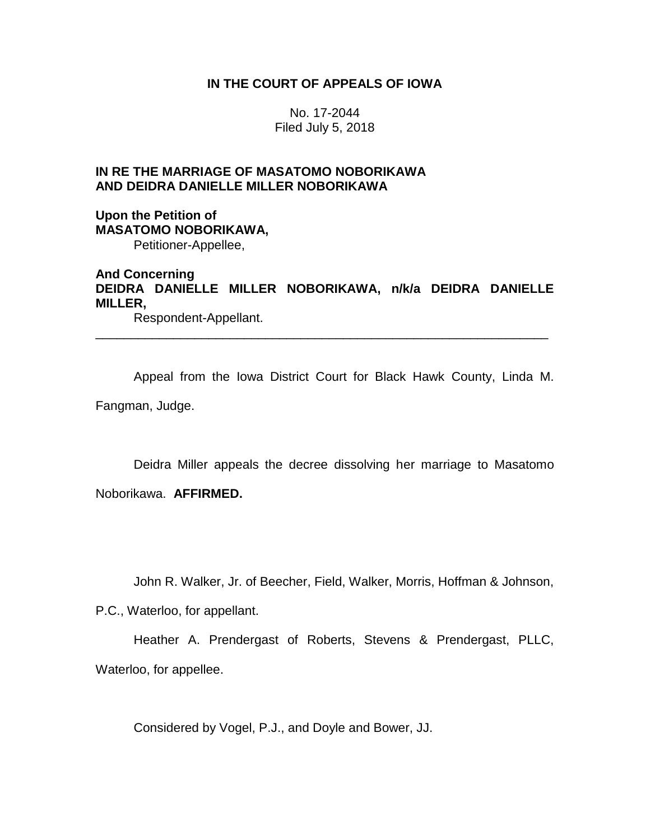### **IN THE COURT OF APPEALS OF IOWA**

No. 17-2044 Filed July 5, 2018

# **IN RE THE MARRIAGE OF MASATOMO NOBORIKAWA AND DEIDRA DANIELLE MILLER NOBORIKAWA**

**Upon the Petition of MASATOMO NOBORIKAWA,** Petitioner-Appellee,

## **And Concerning DEIDRA DANIELLE MILLER NOBORIKAWA, n/k/a DEIDRA DANIELLE MILLER,**

\_\_\_\_\_\_\_\_\_\_\_\_\_\_\_\_\_\_\_\_\_\_\_\_\_\_\_\_\_\_\_\_\_\_\_\_\_\_\_\_\_\_\_\_\_\_\_\_\_\_\_\_\_\_\_\_\_\_\_\_\_\_\_\_

Respondent-Appellant.

Appeal from the Iowa District Court for Black Hawk County, Linda M.

Fangman, Judge.

Deidra Miller appeals the decree dissolving her marriage to Masatomo Noborikawa. **AFFIRMED.**

John R. Walker, Jr. of Beecher, Field, Walker, Morris, Hoffman & Johnson,

P.C., Waterloo, for appellant.

Heather A. Prendergast of Roberts, Stevens & Prendergast, PLLC, Waterloo, for appellee.

Considered by Vogel, P.J., and Doyle and Bower, JJ.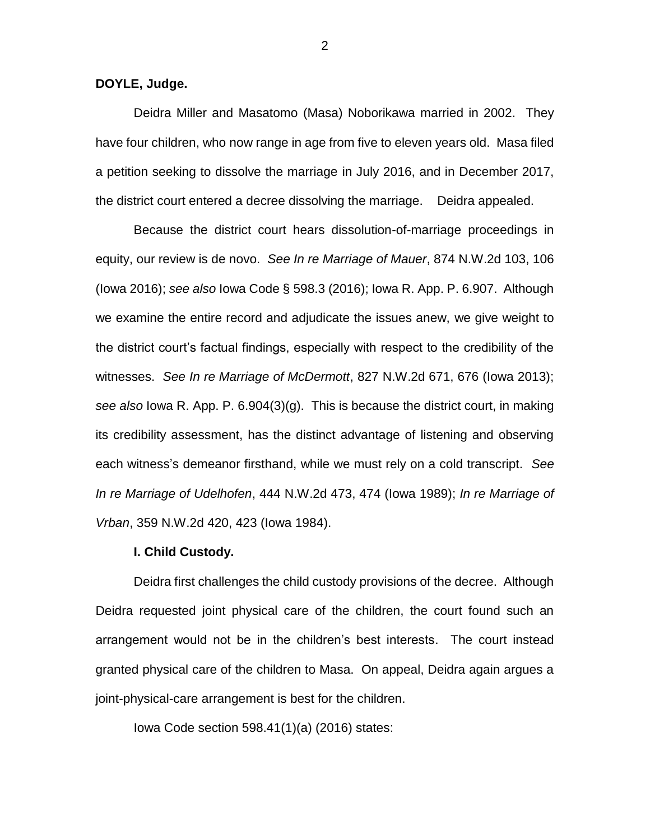**DOYLE, Judge.**

Deidra Miller and Masatomo (Masa) Noborikawa married in 2002. They have four children, who now range in age from five to eleven years old. Masa filed a petition seeking to dissolve the marriage in July 2016, and in December 2017, the district court entered a decree dissolving the marriage. Deidra appealed.

Because the district court hears dissolution-of-marriage proceedings in equity, our review is de novo. *See In re Marriage of Mauer*, 874 N.W.2d 103, 106 (Iowa 2016); *see also* Iowa Code § 598.3 (2016); Iowa R. App. P. 6.907. Although we examine the entire record and adjudicate the issues anew, we give weight to the district court's factual findings, especially with respect to the credibility of the witnesses. *See In re Marriage of McDermott*, 827 N.W.2d 671, 676 (Iowa 2013); *see also* Iowa R. App. P. 6.904(3)(g). This is because the district court, in making its credibility assessment, has the distinct advantage of listening and observing each witness's demeanor firsthand, while we must rely on a cold transcript. *See In re Marriage of Udelhofen*, 444 N.W.2d 473, 474 (Iowa 1989); *In re Marriage of Vrban*, 359 N.W.2d 420, 423 (Iowa 1984).

#### **I. Child Custody.**

Deidra first challenges the child custody provisions of the decree. Although Deidra requested joint physical care of the children, the court found such an arrangement would not be in the children's best interests. The court instead granted physical care of the children to Masa. On appeal, Deidra again argues a joint-physical-care arrangement is best for the children.

Iowa Code section 598.41(1)(a) (2016) states:

2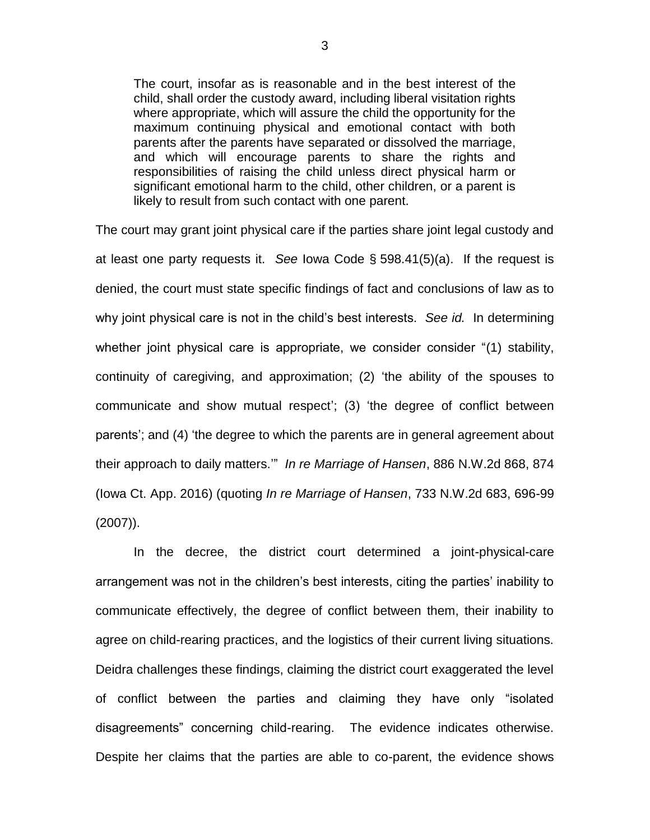The court, insofar as is reasonable and in the best interest of the child, shall order the custody award, including liberal visitation rights where appropriate, which will assure the child the opportunity for the maximum continuing physical and emotional contact with both parents after the parents have separated or dissolved the marriage, and which will encourage parents to share the rights and responsibilities of raising the child unless direct physical harm or significant emotional harm to the child, other children, or a parent is likely to result from such contact with one parent.

The court may grant joint physical care if the parties share joint legal custody and at least one party requests it. *See* Iowa Code § 598.41(5)(a). If the request is denied, the court must state specific findings of fact and conclusions of law as to why joint physical care is not in the child's best interests. *See id.* In determining whether joint physical care is appropriate, we consider consider "(1) stability, continuity of caregiving, and approximation; (2) 'the ability of the spouses to communicate and show mutual respect'; (3) 'the degree of conflict between parents'; and (4) 'the degree to which the parents are in general agreement about their approach to daily matters.'" *In re Marriage of Hansen*, 886 N.W.2d 868, 874 (Iowa Ct. App. 2016) (quoting *In re Marriage of Hansen*, 733 N.W.2d 683, 696-99 (2007)).

In the decree, the district court determined a joint-physical-care arrangement was not in the children's best interests, citing the parties' inability to communicate effectively, the degree of conflict between them, their inability to agree on child-rearing practices, and the logistics of their current living situations. Deidra challenges these findings, claiming the district court exaggerated the level of conflict between the parties and claiming they have only "isolated disagreements" concerning child-rearing. The evidence indicates otherwise. Despite her claims that the parties are able to co-parent, the evidence shows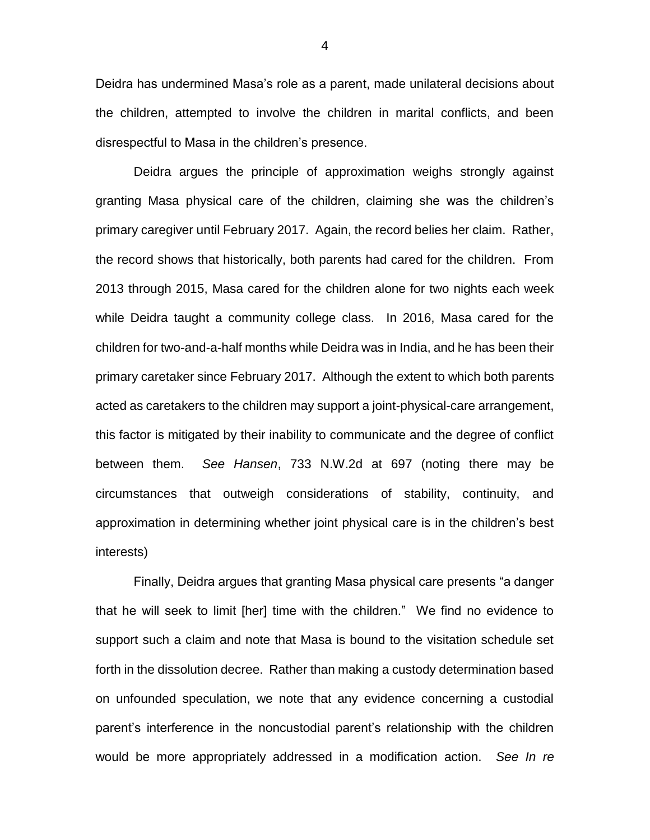Deidra has undermined Masa's role as a parent, made unilateral decisions about the children, attempted to involve the children in marital conflicts, and been disrespectful to Masa in the children's presence.

Deidra argues the principle of approximation weighs strongly against granting Masa physical care of the children, claiming she was the children's primary caregiver until February 2017. Again, the record belies her claim. Rather, the record shows that historically, both parents had cared for the children. From 2013 through 2015, Masa cared for the children alone for two nights each week while Deidra taught a community college class. In 2016, Masa cared for the children for two-and-a-half months while Deidra was in India, and he has been their primary caretaker since February 2017. Although the extent to which both parents acted as caretakers to the children may support a joint-physical-care arrangement, this factor is mitigated by their inability to communicate and the degree of conflict between them. *See Hansen*, 733 N.W.2d at 697 (noting there may be circumstances that outweigh considerations of stability, continuity, and approximation in determining whether joint physical care is in the children's best interests)

Finally, Deidra argues that granting Masa physical care presents "a danger that he will seek to limit [her] time with the children." We find no evidence to support such a claim and note that Masa is bound to the visitation schedule set forth in the dissolution decree. Rather than making a custody determination based on unfounded speculation, we note that any evidence concerning a custodial parent's interference in the noncustodial parent's relationship with the children would be more appropriately addressed in a modification action. *See In re* 

4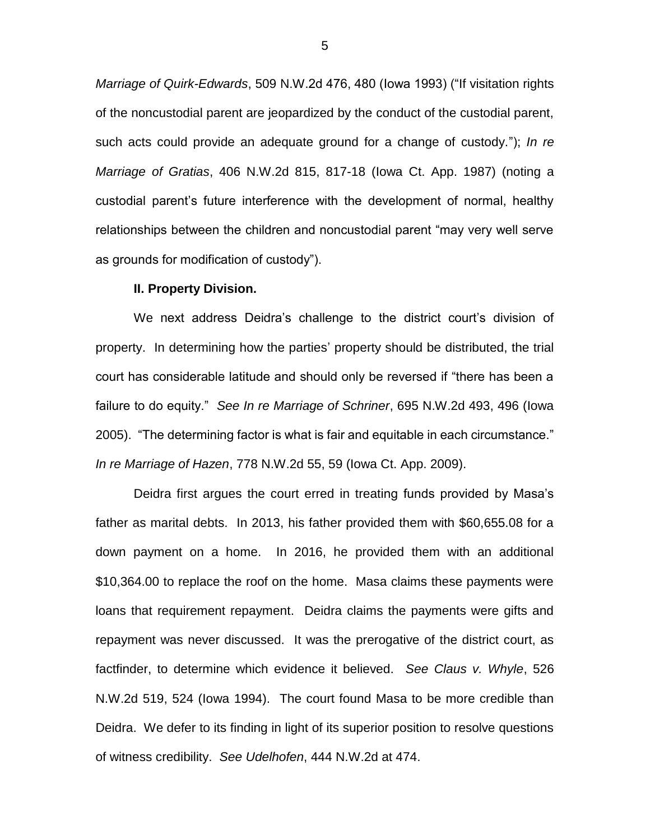*Marriage of Quirk-Edwards*, 509 N.W.2d 476, 480 (Iowa 1993) ("If visitation rights of the noncustodial parent are jeopardized by the conduct of the custodial parent, such acts could provide an adequate ground for a change of custody."); *In re Marriage of Gratias*, 406 N.W.2d 815, 817-18 (Iowa Ct. App. 1987) (noting a custodial parent's future interference with the development of normal, healthy relationships between the children and noncustodial parent "may very well serve as grounds for modification of custody").

#### **II. Property Division.**

We next address Deidra's challenge to the district court's division of property. In determining how the parties' property should be distributed, the trial court has considerable latitude and should only be reversed if "there has been a failure to do equity." *See In re Marriage of Schriner*, 695 N.W.2d 493, 496 (Iowa 2005). "The determining factor is what is fair and equitable in each circumstance." *In re Marriage of Hazen*, 778 N.W.2d 55, 59 (Iowa Ct. App. 2009).

Deidra first argues the court erred in treating funds provided by Masa's father as marital debts. In 2013, his father provided them with \$60,655.08 for a down payment on a home. In 2016, he provided them with an additional \$10,364.00 to replace the roof on the home. Masa claims these payments were loans that requirement repayment. Deidra claims the payments were gifts and repayment was never discussed. It was the prerogative of the district court, as factfinder, to determine which evidence it believed. *See Claus v. Whyle*, 526 N.W.2d 519, 524 (Iowa 1994). The court found Masa to be more credible than Deidra. We defer to its finding in light of its superior position to resolve questions of witness credibility. *See Udelhofen*, 444 N.W.2d at 474.